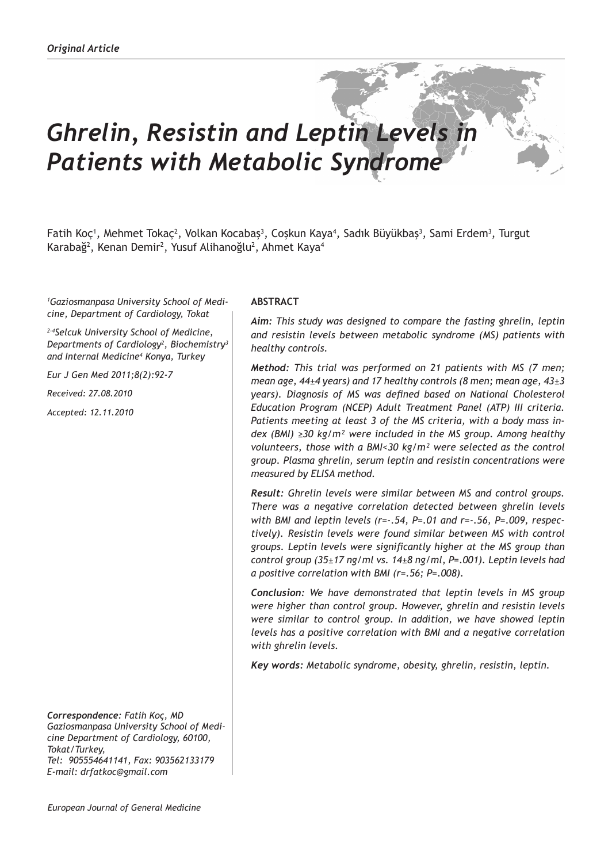# *Ghrelin, Resistin and Leptin Levels in Patients with Metabolic Syndrome*

Fatih Koç<sup>1</sup>, Mehmet Tokaç<sup>2</sup>, Volkan Kocabaş<sup>3</sup>, Coşkun Kaya<sup>4</sup>, Sadık Büyükbaş<sup>3</sup>, Sami Erdem<sup>3</sup>, Turgut Karabağ<sup>2</sup>, Kenan Demir<sup>2</sup>, Yusuf Alihanoğlu<sup>2</sup>, Ahmet Kaya<sup>4</sup>

*1 Gaziosmanpasa University School of Medicine, Department of Cardiology, Tokat*

*2-4Selcuk University School of Medicine, Departments of Cardiology<sup>2</sup> , Biochemistry3 and Internal Medicine<sup>4</sup> Konya, Turkey*

*Eur J Gen Med 2011;8(2):92-7*

*Received: 27.08.2010*

*Accepted: 12.11.2010*

*Correspondence: Fatih Koç, MD Gaziosmanpasa University School of Medicine Department of Cardiology, 60100, Tokat/Turkey, Tel: 905554641141, Fax: 903562133179 E-mail: drfatkoc@gmail.com*

### **ABSTRACT**

*Aim: This study was designed to compare the fasting ghrelin, leptin and resistin levels between metabolic syndrome (MS) patients with healthy controls.* 

*Method: This trial was performed on 21 patients with MS (7 men; mean age, 44±4 years) and 17 healthy controls (8 men; mean age, 43±3 years). Diagnosis of MS was defined based on National Cholesterol Education Program (NCEP) Adult Treatment Panel (ATP) III criteria. Patients meeting at least 3 of the MS criteria, with a body mass index (BMI) ≥30 kg/m² were included in the MS group. Among healthy volunteers, those with a BMI<30 kg/m² were selected as the control group. Plasma ghrelin, serum leptin and resistin concentrations were measured by ELISA method.* 

*Result: Ghrelin levels were similar between MS and control groups. There was a negative correlation detected between ghrelin levels with BMI and leptin levels (r=-.54, P=.01 and r=-.56, P=.009, respectively). Resistin levels were found similar between MS with control groups. Leptin levels were significantly higher at the MS group than control group (35±17 ng/ml vs. 14±8 ng/ml, P=.001). Leptin levels had a positive correlation with BMI (r=.56; P=.008).* 

*Conclusion: We have demonstrated that leptin levels in MS group were higher than control group. However, ghrelin and resistin levels were similar to control group. In addition, we have showed leptin levels has a positive correlation with BMI and a negative correlation with ghrelin levels.*

*Key words: Metabolic syndrome, obesity, ghrelin, resistin, leptin.*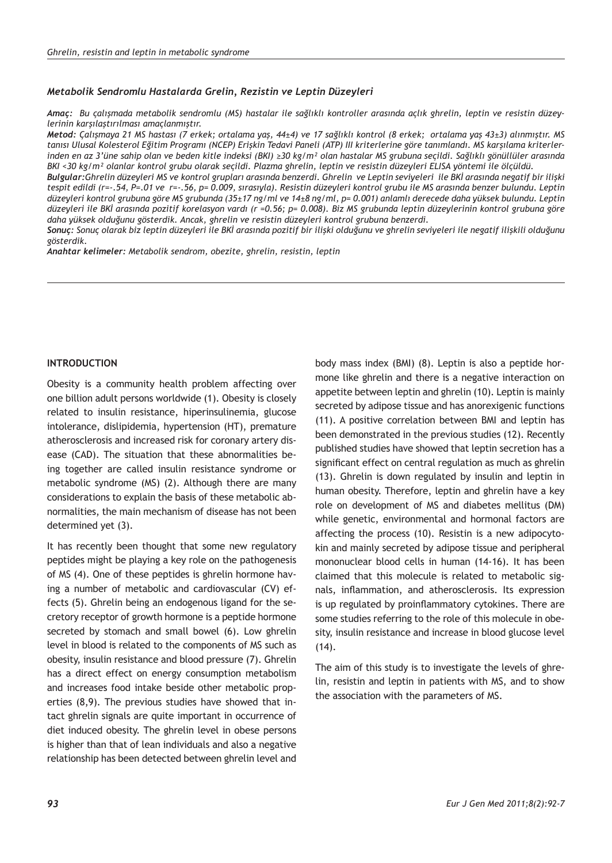#### *Metabolik Sendromlu Hastalarda Grelin, Rezistin ve Leptin Düzeyleri*

*Amaç: Bu çalışmada metabolik sendromlu (MS) hastalar ile sağlıklı kontroller arasında açlık ghrelin, leptin ve resistin düzeylerinin karşılaştırılması amaçlanmıştır.*

*Metod: Çalışmaya 21 MS hastası (7 erkek; ortalama yaş, 44±4) ve 17 sağlıklı kontrol (8 erkek; ortalama yaş 43±3) alınmıştır. MS tanısı Ulusal Kolesterol Eğitim Programı (NCEP) Erişkin Tedavi Paneli (ATP) III kriterlerine göre tanımlandı. MS karşılama kriterlerinden en az 3'üne sahip olan ve beden kitle indeksi (BKI) ≥30 kg/m² olan hastalar MS grubuna seçildi. Sağlıklı gönüllüler arasında BKI <30 kg/m² olanlar kontrol grubu olarak seçildi. Plazma ghrelin, leptin ve resistin düzeyleri ELISA yöntemi ile ölçüldü.*

*Bulgular:Ghrelin düzeyleri MS ve kontrol grupları arasında benzerdi. Ghrelin ve Leptin seviyeleri ile BKİ arasında negatif bir ilişki tespit edildi (r=-.54, P=.01 ve r=-.56, p= 0.009, sırasıyla). Resistin düzeyleri kontrol grubu ile MS arasında benzer bulundu. Leptin düzeyleri kontrol grubuna göre MS grubunda (35±17 ng/ml ve 14±8 ng/ml, p= 0.001) anlamlı derecede daha yüksek bulundu. Leptin düzeyleri ile BKİ arasında pozitif korelasyon vardı (r =0.56; p= 0.008). Biz MS grubunda leptin düzeylerinin kontrol grubuna göre daha yüksek olduğunu gösterdik. Ancak, ghrelin ve resistin düzeyleri kontrol grubuna benzerdi.* 

*Sonuç: Sonuç olarak biz leptin düzeyleri ile BKİ arasında pozitif bir ilişki olduğunu ve ghrelin seviyeleri ile negatif ilişkili olduğunu gösterdik.*

*Anahtar kelimeler: Metabolik sendrom, obezite, ghrelin, resistin, leptin*

#### **INTRODUCTION**

Obesity is a community health problem affecting over one billion adult persons worldwide (1). Obesity is closely related to insulin resistance, hiperinsulinemia, glucose intolerance, dislipidemia, hypertension (HT), premature atherosclerosis and increased risk for coronary artery disease (CAD). The situation that these abnormalities being together are called insulin resistance syndrome or metabolic syndrome (MS) (2). Although there are many considerations to explain the basis of these metabolic abnormalities, the main mechanism of disease has not been determined yet (3).

It has recently been thought that some new regulatory peptides might be playing a key role on the pathogenesis of MS (4). One of these peptides is ghrelin hormone having a number of metabolic and cardiovascular (CV) effects (5). Ghrelin being an endogenous ligand for the secretory receptor of growth hormone is a peptide hormone secreted by stomach and small bowel (6). Low ghrelin level in blood is related to the components of MS such as obesity, insulin resistance and blood pressure (7). Ghrelin has a direct effect on energy consumption metabolism and increases food intake beside other metabolic properties (8,9). The previous studies have showed that intact ghrelin signals are quite important in occurrence of diet induced obesity. The ghrelin level in obese persons is higher than that of lean individuals and also a negative relationship has been detected between ghrelin level and

body mass index (BMI) (8). Leptin is also a peptide hormone like ghrelin and there is a negative interaction on appetite between leptin and ghrelin (10). Leptin is mainly secreted by adipose tissue and has anorexigenic functions (11). A positive correlation between BMI and leptin has been demonstrated in the previous studies (12). Recently published studies have showed that leptin secretion has a significant effect on central regulation as much as ghrelin (13). Ghrelin is down regulated by insulin and leptin in human obesity. Therefore, leptin and ghrelin have a key role on development of MS and diabetes mellitus (DM) while genetic, environmental and hormonal factors are affecting the process (10). Resistin is a new adipocytokin and mainly secreted by adipose tissue and peripheral mononuclear blood cells in human (14-16). It has been claimed that this molecule is related to metabolic signals, inflammation, and atherosclerosis. Its expression is up regulated by proinflammatory cytokines. There are some studies referring to the role of this molecule in obesity, insulin resistance and increase in blood glucose level (14).

The aim of this study is to investigate the levels of ghrelin, resistin and leptin in patients with MS, and to show the association with the parameters of MS.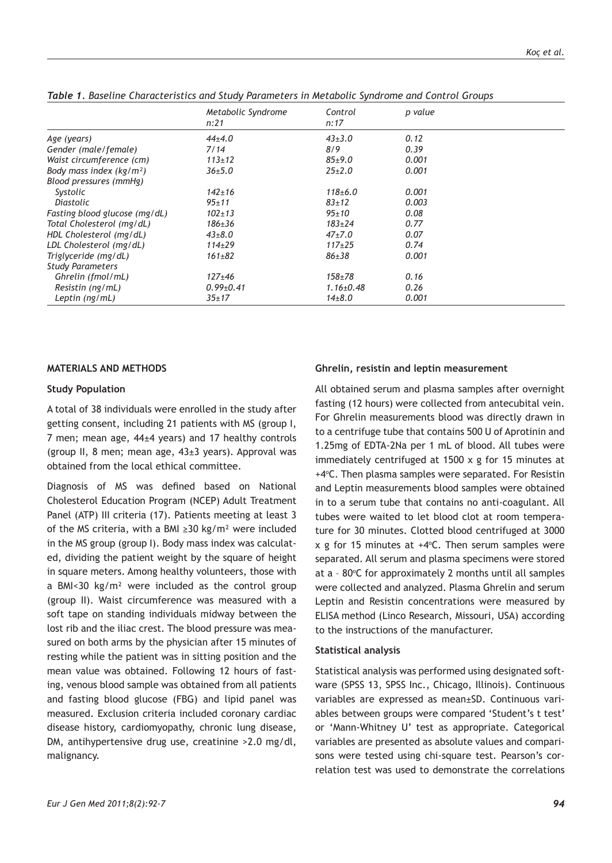|                               | Metabolic Syndrome | Control             | p value |  |
|-------------------------------|--------------------|---------------------|---------|--|
|                               | n:21               | n:17                |         |  |
| Age (years)                   | $44+4.0$           | $43+3.0$            | 0.12    |  |
| Gender (male/female)          | 7/14               | 8/9                 | 0.39    |  |
| Waist circumference (cm)      | $113 \pm 12$       | $85+9.0$            | 0.001   |  |
| Body mass index $(kq/m2)$     | $36 + 5.0$         | $25+2.0$            | 0.001   |  |
| Blood pressures (mmHg)        |                    |                     |         |  |
| Systolic                      | $142 \pm 16$       | $118 + 6.0$         | 0.001   |  |
| Diastolic                     | $95 + 11$          | $83 + 12$           | 0.003   |  |
| Fasting blood glucose (mg/dL) | $102 \pm 13$       | $95 + 10$           | 0.08    |  |
| Total Cholesterol (mg/dL)     | $186 \pm 36$       | $183 + 24$          | 0.77    |  |
| HDL Cholesterol (mg/dL)       | $43+8.0$           | $47+7.0$            | 0.07    |  |
| LDL Cholesterol (mg/dL)       | $114\pm 29$        | $117+25$            | 0.74    |  |
| Triglyceride (mg/dL)          | $161 \pm 82$       | $86 + 38$           | 0.001   |  |
| <b>Study Parameters</b>       |                    |                     |         |  |
| Ghrelin (fmol/mL)             | $127 + 46$         | $158 + 78$          | 0.16    |  |
| Resistin (ng/mL)              | $0.99 \pm 0.41$    | $1.16 \pm 0.48$     | 0.26    |  |
| Leptin (ng/mL)                | $35 + 17$          | 14 <sub>±</sub> 8.0 | 0.001   |  |

*Table 1. Baseline Characteristics and Study Parameters in Metabolic Syndrome and Control Groups* 

#### **MATERIALS AND METHODS**

### **Study Population**

A total of 38 individuals were enrolled in the study after getting consent, including 21 patients with MS (group I, 7 men; mean age, 44±4 years) and 17 healthy controls (group II, 8 men; mean age, 43±3 years). Approval was obtained from the local ethical committee.

Diagnosis of MS was defined based on National Cholesterol Education Program (NCEP) Adult Treatment Panel (ATP) III criteria (17). Patients meeting at least 3 of the MS criteria, with a BMI ≥30 kg/m² were included in the MS group (group I). Body mass index was calculated, dividing the patient weight by the square of height in square meters. Among healthy volunteers, those with a BMI<30 kg/m² were included as the control group (group II). Waist circumference was measured with a soft tape on standing individuals midway between the lost rib and the iliac crest. The blood pressure was measured on both arms by the physician after 15 minutes of resting while the patient was in sitting position and the mean value was obtained. Following 12 hours of fasting, venous blood sample was obtained from all patients and fasting blood glucose (FBG) and lipid panel was measured. Exclusion criteria included coronary cardiac disease history, cardiomyopathy, chronic lung disease, DM, antihypertensive drug use, creatinine >2.0 mg/dl, malignancy.

### **Ghrelin, resistin and leptin measurement**

All obtained serum and plasma samples after overnight fasting (12 hours) were collected from antecubital vein. For Ghrelin measurements blood was directly drawn in to a centrifuge tube that contains 500 U of Aprotinin and 1.25mg of EDTA-2Na per 1 mL of blood. All tubes were immediately centrifuged at 1500 x g for 15 minutes at +4°C. Then plasma samples were separated. For Resistin and Leptin measurements blood samples were obtained in to a serum tube that contains no anti-coagulant. All tubes were waited to let blood clot at room temperature for 30 minutes. Clotted blood centrifuged at 3000  $x$  g for 15 minutes at  $+4$ °C. Then serum samples were separated. All serum and plasma specimens were stored at a - 80°C for approximately 2 months until all samples were collected and analyzed. Plasma Ghrelin and serum Leptin and Resistin concentrations were measured by ELISA method (Linco Research, Missouri, USA) according to the instructions of the manufacturer.

#### **Statistical analysis**

Statistical analysis was performed using designated software (SPSS 13, SPSS Inc., Chicago, Illinois). Continuous variables are expressed as mean±SD. Continuous variables between groups were compared 'Student's t test' or 'Mann-Whitney U' test as appropriate. Categorical variables are presented as absolute values and comparisons were tested using chi-square test. Pearson's correlation test was used to demonstrate the correlations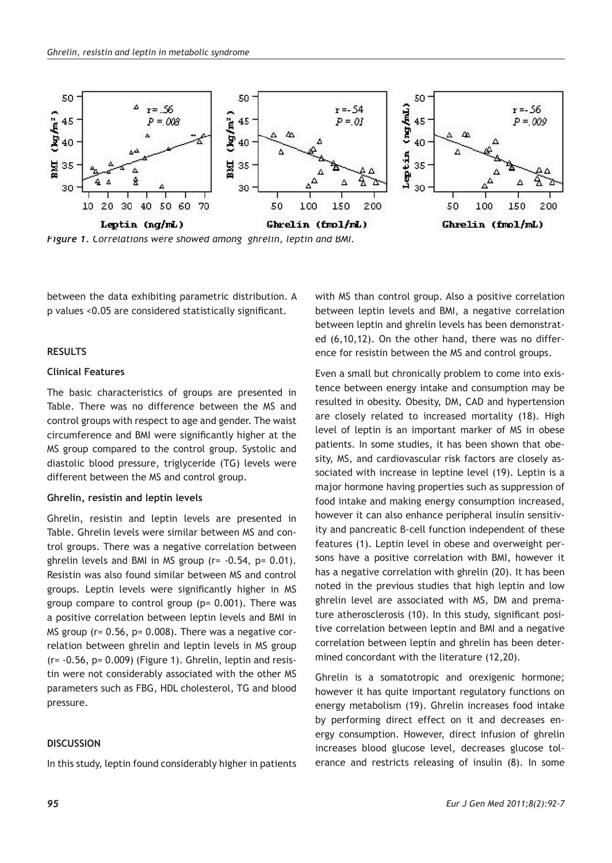

*Figure 1. Correlations were showed among ghrelin, leptin and BMI.* 

between the data exhibiting parametric distribution. A p values <0.05 are considered statistically significant.

## **RESULTS**

# **Clinical Features**

The basic characteristics of groups are presented in Table. There was no difference between the MS and control groups with respect to age and gender. The waist circumference and BMI were significantly higher at the MS group compared to the control group. Systolic and diastolic blood pressure, triglyceride (TG) levels were different between the MS and control group.

#### **Ghrelin, resistin and leptin levels**

Ghrelin, resistin and leptin levels are presented in Table. Ghrelin levels were similar between MS and control groups. There was a negative correlation between ghrelin levels and BMI in MS group (r= -0.54, p= 0.01). Resistin was also found similar between MS and control groups. Leptin levels were significantly higher in MS group compare to control group (p= 0.001). There was a positive correlation between leptin levels and BMI in MS group (r= 0.56, p= 0.008). There was a negative correlation between ghrelin and leptin levels in MS group  $(r= -0.56, p= 0.009)$  (Figure 1). Ghrelin, leptin and resistin were not considerably associated with the other MS parameters such as FBG, HDL cholesterol, TG and blood pressure.

#### **DISCUSSION**

In this study, leptin found considerably higher in patients

with MS than control group. Also a positive correlation between leptin levels and BMI, a negative correlation between leptin and ghrelin levels has been demonstrated (6,10,12). On the other hand, there was no difference for resistin between the MS and control groups.

Even a small but chronically problem to come into existence between energy intake and consumption may be resulted in obesity. Obesity, DM, CAD and hypertension are closely related to increased mortality (18). High level of leptin is an important marker of MS in obese patients. In some studies, it has been shown that obesity, MS, and cardiovascular risk factors are closely associated with increase in leptine level (19). Leptin is a major hormone having properties such as suppression of food intake and making energy consumption increased, however it can also enhance peripheral insulin sensitivity and pancreatic β-cell function independent of these features (1). Leptin level in obese and overweight persons have a positive correlation with BMI, however it has a negative correlation with ghrelin (20). It has been noted in the previous studies that high leptin and low ghrelin level are associated with MS, DM and premature atherosclerosis (10). In this study, significant positive correlation between leptin and BMI and a negative correlation between leptin and ghrelin has been determined concordant with the literature (12,20).

Ghrelin is a somatotropic and orexigenic hormone; however it has quite important regulatory functions on energy metabolism (19). Ghrelin increases food intake by performing direct effect on it and decreases energy consumption. However, direct infusion of ghrelin increases blood glucose level, decreases glucose tolerance and restricts releasing of insulin (8). In some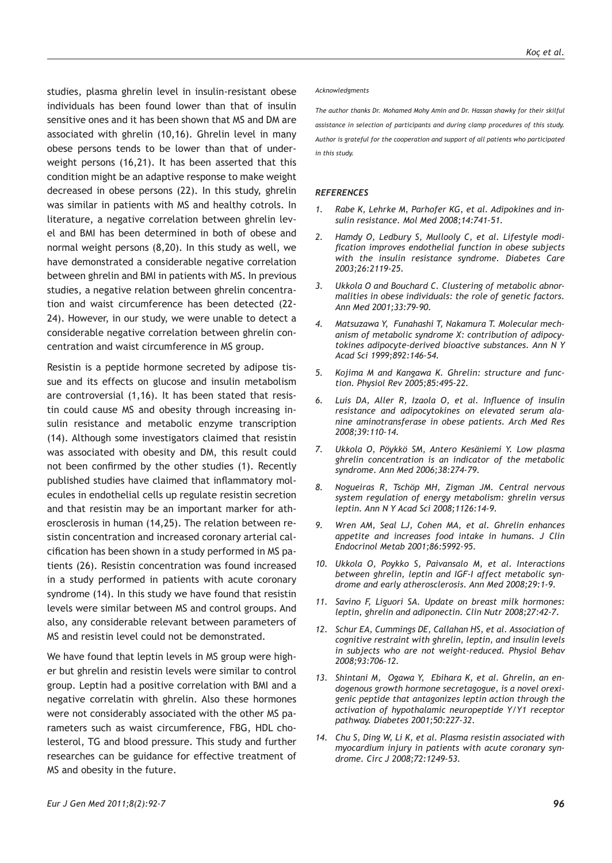studies, plasma ghrelin level in insulin-resistant obese individuals has been found lower than that of insulin sensitive ones and it has been shown that MS and DM are associated with ghrelin (10,16). Ghrelin level in many obese persons tends to be lower than that of underweight persons (16,21). It has been asserted that this condition might be an adaptive response to make weight decreased in obese persons (22). In this study, ghrelin was similar in patients with MS and healthy cotrols. In literature, a negative correlation between ghrelin level and BMI has been determined in both of obese and normal weight persons (8,20). In this study as well, we have demonstrated a considerable negative correlation between ghrelin and BMI in patients with MS. In previous studies, a negative relation between ghrelin concentration and waist circumference has been detected (22- 24). However, in our study, we were unable to detect a considerable negative correlation between ghrelin concentration and waist circumference in MS group.

Resistin is a peptide hormone secreted by adipose tissue and its effects on glucose and insulin metabolism are controversial (1,16). It has been stated that resistin could cause MS and obesity through increasing insulin resistance and metabolic enzyme transcription (14). Although some investigators claimed that resistin was associated with obesity and DM, this result could not been confirmed by the other studies (1). Recently published studies have claimed that inflammatory molecules in endothelial cells up regulate resistin secretion and that resistin may be an important marker for atherosclerosis in human (14,25). The relation between resistin concentration and increased coronary arterial calcification has been shown in a study performed in MS patients (26). Resistin concentration was found increased in a study performed in patients with acute coronary syndrome (14). In this study we have found that resistin levels were similar between MS and control groups. And also, any considerable relevant between parameters of MS and resistin level could not be demonstrated.

We have found that leptin levels in MS group were higher but ghrelin and resistin levels were similar to control group. Leptin had a positive correlation with BMI and a negative correlatin with ghrelin. Also these hormones were not considerably associated with the other MS parameters such as waist circumference, FBG, HDL cholesterol, TG and blood pressure. This study and further researches can be guidance for effective treatment of MS and obesity in the future.

#### *Acknowledgments*

*The author thanks Dr. Mohamed Mohy Amin and Dr. Hassan shawky for their skilful assistance in selection of participants and during clamp procedures of this study. Author is grateful for the cooperation and support of all patients who participated in this study.*

#### *REFERENCES*

- *1. Rabe K, Lehrke M, Parhofer KG, et al. Adipokines and insulin resistance. Mol Med 2008;14:741-51.*
- *2. Hamdy O, Ledbury S, Mullooly C, et al. Lifestyle modification improves endothelial function in obese subjects with the insulin resistance syndrome. Diabetes Care 2003;26:2119-25.*
- *3. Ukkola O and Bouchard C. Clustering of metabolic abnormalities in obese individuals: the role of genetic factors. Ann Med 2001;33:79-90.*
- *4. Matsuzawa Y, Funahashi T, Nakamura T. Molecular mechanism of metabolic syndrome X: contribution of adipocytokines adipocyte-derived bioactive substances. Ann N Y Acad Sci 1999;892:146-54.*
- *5. Kojima M and Kangawa K. Ghrelin: structure and function. Physiol Rev 2005;85:495-22.*
- *6. Luis DA, Aller R, Izaola O, et al. Influence of insulin resistance and adipocytokines on elevated serum alanine aminotransferase in obese patients. Arch Med Res 2008;39:110-14.*
- *7. Ukkola O, Pöykkö SM, Antero Kesäniemi Y. Low plasma ghrelin concentration is an indicator of the metabolic syndrome. Ann Med 2006;38:274-79.*
- *8. Nogueiras R, Tschöp MH, Zigman JM. Central nervous system regulation of energy metabolism: ghrelin versus leptin. Ann N Y Acad Sci 2008;1126:14-9.*
- *9. Wren AM, Seal LJ, Cohen MA, et al. Ghrelin enhances appetite and increases food intake in humans. J Clin Endocrinol Metab 2001;86:5992-95.*
- *10. Ukkola O, Poykko S, Paivansalo M, et al. Interactions between ghrelin, leptin and IGF-I affect metabolic syndrome and early atherosclerosis. Ann Med 2008;29:1-9.*
- *11. Savino F, Liguori SA. Update on breast milk hormones: leptin, ghrelin and adiponectin. Clin Nutr 2008;27:42-7.*
- *12. Schur EA, Cummings DE, Callahan HS, et al. Association of cognitive restraint with ghrelin, leptin, and insulin levels in subjects who are not weight-reduced. Physiol Behav 2008;93:706-12.*
- *13. Shintani M, Ogawa Y, Ebihara K, et al. Ghrelin, an endogenous growth hormone secretagogue, is a novel orexigenic peptide that antagonizes leptin action through the activation of hypothalamic neuropeptide Y/Y1 receptor pathway. Diabetes 2001;50:227-32.*
- *14. Chu S, Ding W, Li K, et al. Plasma resistin associated with myocardium injury in patients with acute coronary syndrome. Circ J 2008;72:1249-53.*